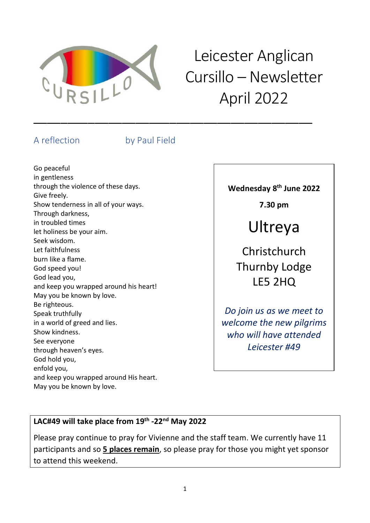

# Leicester Anglican Cursillo – Newsletter April 2022

### A reflection by Paul Field

\_\_\_\_\_\_\_\_\_\_\_\_\_\_\_\_\_\_\_\_\_\_\_\_\_\_\_\_\_\_\_\_\_\_\_\_\_\_\_\_\_

Go peaceful in gentleness through the violence of these days. Give freely. Show tenderness in all of your ways. Through darkness, in troubled times let holiness be your aim. Seek wisdom. Let faithfulness burn like a flame. God speed you! God lead you, and keep you wrapped around his heart! May you be known by love. Be righteous. Speak truthfully in a world of greed and lies. Show kindness. See everyone through heaven's eyes. God hold you, enfold you, and keep you wrapped around His heart. May you be known by love.

**Wednesday 8 th June 2022**

**7.30 pm**

# Ultreya

Christchurch Thurnby Lodge LE5 2HQ

*Do join us as we meet to welcome the new pilgrims who will have attended Leicester #49*

### **LAC#49 will take place from 19th -22nd May 2022**

Please pray continue to pray for Vivienne and the staff team. We currently have 11 participants and so **5 places remain**, so please pray for those you might yet sponsor to attend this weekend.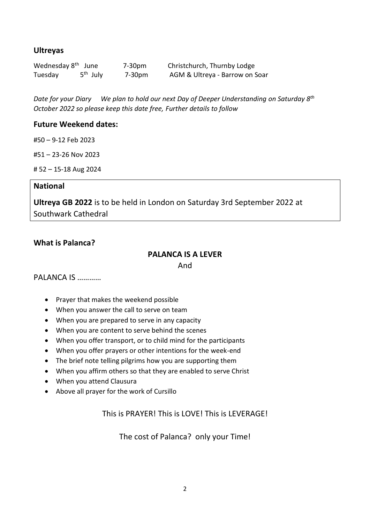#### **Ultreyas**

| Wednesday 8 <sup>th</sup> June |                      | 7-30pm | Christchurch, Thurnby Lodge    |
|--------------------------------|----------------------|--------|--------------------------------|
| Tuesday                        | 5 <sup>th</sup> July | 7-30pm | AGM & Ultreya - Barrow on Soar |

*Date for your Diary We plan to hold our next Day of Deeper Understanding on Saturday 8th October 2022 so please keep this date free, Further details to follow*

#### **Future Weekend dates:**

#50 – 9-12 Feb 2023

#51 – 23-26 Nov 2023

# 52 – 15-18 Aug 2024

#### **National**

**Ultreya GB 2022** is to be held in London on Saturday 3rd September 2022 at Southwark Cathedral

#### **What is Palanca?**

### **PALANCA IS A LEVER**

And

#### PALANCA IS …………

- Prayer that makes the weekend possible
- When you answer the call to serve on team
- When you are prepared to serve in any capacity
- When you are content to serve behind the scenes
- When you offer transport, or to child mind for the participants
- When you offer prayers or other intentions for the week-end
- The brief note telling pilgrims how you are supporting them
- When you affirm others so that they are enabled to serve Christ
- When you attend Clausura
- Above all prayer for the work of Cursillo

This is PRAYER! This is LOVE! This is LEVERAGE!

The cost of Palanca? only your Time!